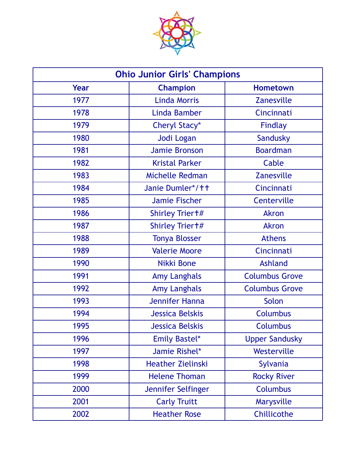

| <b>Ohio Junior Girls' Champions</b> |                          |                       |
|-------------------------------------|--------------------------|-----------------------|
| Year                                | <b>Champion</b>          | <b>Hometown</b>       |
| 1977                                | <b>Linda Morris</b>      | <b>Zanesville</b>     |
| 1978                                | Linda Bamber             | Cincinnati            |
| 1979                                | Cheryl Stacy*            | <b>Findlay</b>        |
| 1980                                | Jodi Logan               | Sandusky              |
| 1981                                | <b>Jamie Bronson</b>     | <b>Boardman</b>       |
| 1982                                | <b>Kristal Parker</b>    | Cable                 |
| 1983                                | Michelle Redman          | <b>Zanesville</b>     |
| 1984                                | Janie Dumler*/tt         | Cincinnati            |
| 1985                                | <b>Jamie Fischer</b>     | Centerville           |
| 1986                                | Shirley Trier +#         | <b>Akron</b>          |
| 1987                                | Shirley Trier +#         | <b>Akron</b>          |
| 1988                                | <b>Tonya Blosser</b>     | <b>Athens</b>         |
| 1989                                | <b>Valerie Moore</b>     | Cincinnati            |
| 1990                                | Nikki Bone               | <b>Ashland</b>        |
| 1991                                | <b>Amy Langhals</b>      | <b>Columbus Grove</b> |
| 1992                                | <b>Amy Langhals</b>      | <b>Columbus Grove</b> |
| 1993                                | <b>Jennifer Hanna</b>    | Solon                 |
| 1994                                | <b>Jessica Belskis</b>   | <b>Columbus</b>       |
| 1995                                | <b>Jessica Belskis</b>   | <b>Columbus</b>       |
| 1996                                | <b>Emily Bastel*</b>     | <b>Upper Sandusky</b> |
| 1997                                | Jamie Rishel*            | Westerville           |
| 1998                                | <b>Heather Zielinski</b> | Sylvania              |
| 1999                                | <b>Helene Thoman</b>     | <b>Rocky River</b>    |
| 2000                                | Jennifer Selfinger       | <b>Columbus</b>       |
| 2001                                | <b>Carly Truitt</b>      | Marysville            |
| 2002                                | <b>Heather Rose</b>      | Chillicothe           |